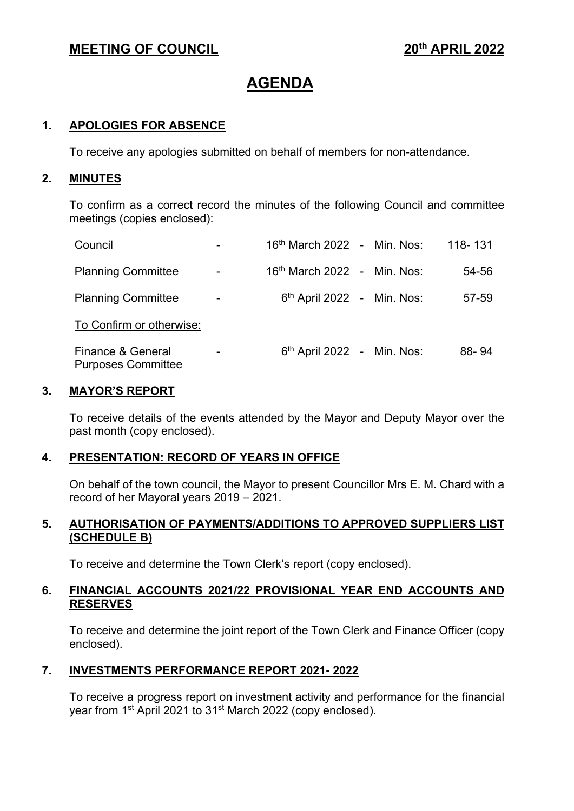# **MEETING OF COUNCIL 2022**

# **AGENDA**

# **1. APOLOGIES FOR ABSENCE**

To receive any apologies submitted on behalf of members for non-attendance.

#### **2. MINUTES**

To confirm as a correct record the minutes of the following Council and committee meetings (copies enclosed):

| Council                                        |   | 16 <sup>th</sup> March 2022 - Min. Nos: |  | 118-131 |
|------------------------------------------------|---|-----------------------------------------|--|---------|
| <b>Planning Committee</b>                      | - | 16 <sup>th</sup> March 2022 - Min. Nos: |  | 54-56   |
| <b>Planning Committee</b>                      |   | $6th$ April 2022 - Min. Nos:            |  | 57-59   |
| To Confirm or otherwise:                       |   |                                         |  |         |
| Finance & General<br><b>Purposes Committee</b> |   | $6th$ April 2022 - Min. Nos:            |  | 88-94   |

#### **3. MAYOR'S REPORT**

To receive details of the events attended by the Mayor and Deputy Mayor over the past month (copy enclosed).

# **4. PRESENTATION: RECORD OF YEARS IN OFFICE**

On behalf of the town council, the Mayor to present Councillor Mrs E. M. Chard with a record of her Mayoral years 2019 – 2021.

#### **5. AUTHORISATION OF PAYMENTS/ADDITIONS TO APPROVED SUPPLIERS LIST (SCHEDULE B)**

To receive and determine the Town Clerk's report (copy enclosed).

#### **6. FINANCIAL ACCOUNTS 2021/22 PROVISIONAL YEAR END ACCOUNTS AND RESERVES**

To receive and determine the joint report of the Town Clerk and Finance Officer (copy enclosed).

# **7. INVESTMENTS PERFORMANCE REPORT 2021- 2022**

To receive a progress report on investment activity and performance for the financial year from 1<sup>st</sup> April 2021 to 31<sup>st</sup> March 2022 (copy enclosed).